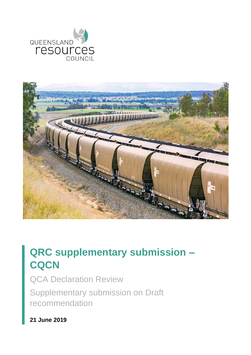



# **QRC supplementary submission – CQCN**

QCA Declaration Review Supplementary submission on Draft recommendation

**21 June 2019**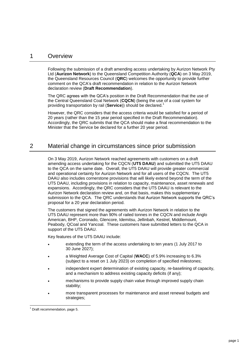## 1 Overview

Following the submission of a draft amending access undertaking by Aurizon Network Pty Ltd (**Aurizon Network**) to the Queensland Competition Authority (**QCA**) on 3 May 2019, the Queensland Resources Council (**QRC**) welcomes the opportunity to provide further comment on the QCA's draft recommendation in relation to the Aurizon Network declaration review (**Draft Recommendation**).

The QRC agrees with the QCA's position in the Draft Recommendation that the use of the Central Queensland Coal Network (**CQCN**) (being the use of a coal system for providing transportation by rail (**Service**)) should be declared.<sup>1</sup>

However, the QRC considers that the access criteria would be satisfied for a period of 20 years (rather than the 15 year period specified in the Draft Recommendation). Accordingly, the QRC submits that the QCA should make a final recommendation to the Minister that the Service be declared for a further 20 year period.

# 2 Material change in circumstances since prior submission

On 3 May 2019, Aurizon Network reached agreements with customers on a draft amending access undertaking for the CQCN (**UT5 DAAU**) and submitted the UT5 DAAU to the QCA on the same date. Overall, the UT5 DAAU will provide greater commercial and operational certainty for Aurizon Network and for all users of the CQCN. The UT5 DAAU also includes cornerstone provisions that will likely extend beyond the term of the UT5 DAAU, including provisions in relation to capacity, maintenance, asset renewals and expansions. Accordingly, the QRC considers that the UT5 DAAU is relevant to the Aurizon Network declaration review and, on that basis, makes this supplementary submission to the QCA. The QRC understands that Aurizon Network supports the QRC's proposal for a 20 year declaration period.

The customers that signed the agreements with Aurizon Network in relation to the UT5 DAAU represent more than 90% of railed tonnes in the CQCN and include Anglo American, BHP, Coronado, Glencore, Idemitsu, Jellinbah, Kestrel, Middlemount, Peabody, QCoal and Yancoal. These customers have submitted letters to the QCA in support of the UT5 DAAU.

Key features of the UT5 DAAU include:

- extending the term of the access undertaking to ten years (1 July 2017 to 30 June 2027);
- a Weighted Average Cost of Capital (**WACC**) of 5.9% increasing to 6.3% (subject to a reset on 1 July 2023) on completion of specified milestones;
- independent expert determination of existing capacity, re-baselining of capacity, and a mechanism to address existing capacity deficits (if any);
- mechanisms to provide supply chain value through improved supply chain stability;
- more transparent processes for maintenance and asset renewal budgets and strategies:

l  $<sup>1</sup>$  Draft recommendation, page 5.</sup>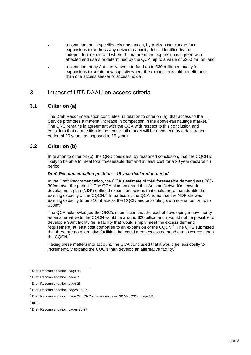- a commitment, in specified circumstances, by Aurizon Network to fund expansions to address any network capacity deficit identified by the independent expert and where the nature of the expansion is agreed with affected end users or determined by the QCA, up to a value of \$300 million; and
- a commitment by Aurizon Network to fund up to \$30 million annually for expansions to create new capacity where the expansion would benefit more than one access seeker or access holder.

# 3 Impact of UT5 DAAU on access criteria

## **3.1 Criterion (a)**

The Draft Recommendation concludes, in relation to criterion (a), that access to the Service promotes a material increase in competition in the above-rail haulage market.<sup>2</sup> The QRC remains in agreement with the QCA with respect to this conclusion and considers that competition in the above-rail market will be enhanced by a declaration period of 20 years, as opposed to 15 years.

## **3.2 Criterion (b)**

In relation to criterion (b), the QRC considers, by reasoned conclusion, that the CQCN is likely to be able to meet total foreseeable demand at least cost for a 20 year declaration period.

#### *Draft Recommendation position – 15 year declaration period*

In the Draft Recommendation, the QCA's estimate of total foreseeable demand was 260- 300mt over the period. $3$  The QCA also observed that Aurizon Network's network development plan (**NDP**) outlined expansion options that could more than double the existing capacity of the CQCN. $<sup>4</sup>$  In particular, the QCA noted that the NDP showed</sup> existing capacity to be 310mt across the CQCN and possible growth scenarios for up to 630mt. 5

The QCA acknowledged the QRC's submission that the cost of developing a new facility as an alternative to the CQCN would be around \$20 billion and it would not be possible to develop a 90mt facility (ie. a facility that would simply meet the excess demand requirement) at least cost compared to an expansion of the CQCN.<sup>6</sup> The QRC submitted that there are no alternative facilities that could meet excess demand at a lower cost than the CQCN.<sup>7</sup>

Taking these matters into account, the QCA concluded that it would be less costly to incrementally expand the CQCN than develop an alternative facility.<sup>8</sup> L

l  $2$  Draft Recommendation, page 45.

<sup>3</sup> Draft Recommendation, page 7.

<sup>4</sup> Draft Recommendation, page 28.

<sup>5</sup> Draft Recommendation, pages 26-27.

<sup>6</sup> Draft Recommendation, page 23. QRC submission dated 30 May 2018, page 13.

 $<sup>7</sup>$  Ibid.</sup>

<sup>8</sup> Draft Recommendation, pages 26-27.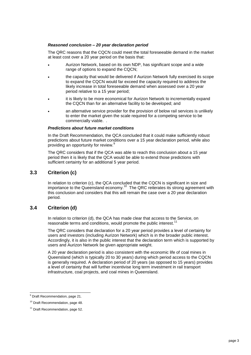#### *Reasoned conclusion – 20 year declaration period*

The QRC reasons that the CQCN could meet the total foreseeable demand in the market at least cost over a 20 year period on the basis that:

- Aurizon Network, based on its own NDP, has significant scope and a wide range of options to expand the CQCN;
- the capacity that would be delivered if Aurizon Network fully exercised its scope to expand the CQCN would far exceed the capacity required to address the likely increase in total foreseeable demand when assessed over a 20 year period relative to a 15 year period;
- it is likely to be more economical for Aurizon Network to incrementally expand the CQCN than for an alternative facility to be developed; and
- an alternative service provider for the provision of below rail services is unlikely to enter the market given the scale required for a competing service to be commercially viable. .

#### *Predictions about future market conditions*

In the Draft Recommendation, the QCA concluded that it could make sufficiently robust predictions about future market conditions over a 15 year declaration period, while also providing an opportunity for review.<sup>9</sup>

The QRC considers that if the QCA was able to reach this conclusion about a 15 year period then it is likely that the QCA would be able to extend those predictions with sufficient certainty for an additional 5 year period.

### **3.3 Criterion (c)**

In relation to criterion (c), the QCA concluded that the CQCN is significant in size and importance to the Queensland economy.<sup>10</sup> The QRC reiterates its strong agreement with this conclusion and considers that this will remain the case over a 20 year declaration period.

## **3.4 Criterion (d)**

In relation to criterion (d), the QCA has made clear that access to the Service, on reasonable terms and conditions, would promote the public interest.<sup>1</sup>

The QRC considers that declaration for a 20 year period provides a level of certainty for users and investors (including Aurizon Network) which is in the broader public interest. Accordingly, it is also in the public interest that the declaration term which is supported by users and Aurizon Network be given appropriate weight.

A 20 year declaration period is also consistent with the economic life of coal mines in Queensland (which is typically 20 to 30 years) during which period access to the CQCN is generally required. A declaration period of 20 years (as opposed to 15 years) provides a level of certainty that will further incentivise long term investment in rail transport infrastructure, coal projects, and coal mines in Queensland.

l

<sup>&</sup>lt;sup>9</sup> Draft Recommendation, page 21.

<sup>&</sup>lt;sup>10</sup> Draft Recommendation, page 48.

<sup>&</sup>lt;sup>11</sup> Draft Recommendation, page 52.